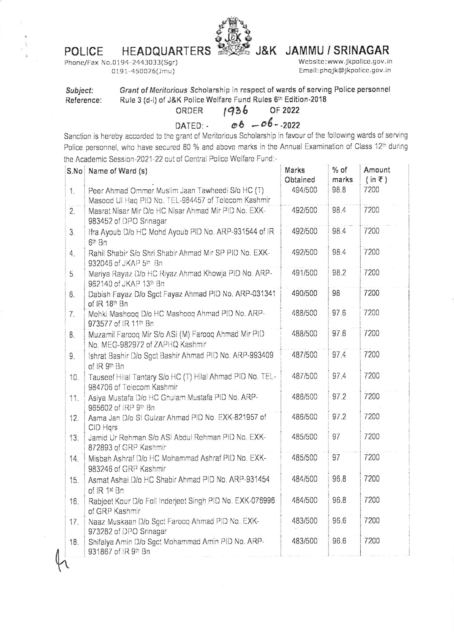## **HEADQUARTERS POLICE**



## J&K JAMMU / SRINAGAR

Website:www.jkpolice.gov.in Email:phqjk@jkpolice.gov.in

0191-450026(Jmu)

| Subject:   |                                                                |      | Grant of Meritorious Scholarship in respect of wards of serving Police personnel |  |  |  |  |
|------------|----------------------------------------------------------------|------|----------------------------------------------------------------------------------|--|--|--|--|
| Reference: | Rule 3 (d-i) of J&K Police Welfare Fund Rules 6th Edition-2018 |      |                                                                                  |  |  |  |  |
|            | ORDER                                                          | 1936 | OF 2022                                                                          |  |  |  |  |

 $06 - 06 - 2022$ DATED: -

Sanction is hereby accorded to the grant of Meritorious Scholarship in favour of the following wards of serving Police personnel, who have secured 80 % and above marks in the Annual Examination of Class 12th during the Academic Session-2021-22 out of Central Police Welfare Fund:-

|     | S.No   Name of Ward (s)                                                                                 | Marks<br>Obtained | $%$ of<br>marks | Amount<br>$(in \; \bar{\tau})$ |
|-----|---------------------------------------------------------------------------------------------------------|-------------------|-----------------|--------------------------------|
| 1.  | Peer Ahmad Ommer Muslim Jaan Tawheedi S/o HC (T)<br>Masood UI Haq PID No. TEL-984457 of Telecom Kashmir | 494/500           | 98.8            | 7200                           |
| 2.  | Masrat Nisar Mir D/o HC Nisar Ahmad Mir PID No. EXK-<br>983452 of DPO Srinagar                          | 492/500           | 98.4            | 7200                           |
| 3.  | Ifra Ayoub D/o HC Mohd Ayoub PID No. ARP-931544 of IR<br>6th Bn                                         | 492/500           | 98.4            | 7200                           |
| 4.  | Rahil Shabir S/o Shri Shabir Ahmad Mir SP PID No. EXK-<br>932046 of JKAP 5th Bn                         | 492/500           | 98.4            | 7200                           |
| 5.  | Mariya Rayaz D/o HC Riyaz Ahmad Khowja PID No. ARP-<br>962140 of JKAP 13th Bn                           | 491/500           | 98.2            | 7200                           |
| 6.  | Dabish Fayaz D/o Sgct Fayaz Ahmad PID No. ARP-031341<br>of IR 18th Bn                                   | 490/500           | 98              | 7200                           |
| 7.  | Mehki Mashooq D/o HC Mashooq Ahmad PID No. ARP-<br>973577 of IR 11th Bn                                 | 488/500           | 97.6            | 7200                           |
| 8.  | Muzamil Farooq Mir S/o ASI (M) Farooq Ahmad Mir PID<br>No. MEG-982972 of ZAPHQ Kashmir                  | 488/500           | 97.6            | 7200                           |
| 9.  | Ishrat Bashir D/o Sgct Bashir Ahmad PID No. ARP-993409<br>of IR 9th Bn                                  | 487/500           | 97.4            | 7200                           |
| 10. | Tauseef Hilal Tantary S/o HC (T) Hilal Ahmad PID No. TEL-<br>984706 of Telecom Kashmir                  | 487/500           | 97.4            | 7200                           |
| 11. | Asiya Mustafa D/o HC Ghulam Mustafa PID No. ARP-<br>965602 of IRP 9th Bn                                | 486/500           | 97.2            | 7200                           |
| 12. | Asma Jan D/o SI Gulzar Ahmad PID No. EXK-821957 of<br>CID Hqrs                                          | 486/500           | 97.2            | 7200                           |
| 13. | Jamid Ur Rehman S/o ASI Abdul Rehman PID No. EXK-<br>872893 of GRP Kashmir                              | 485/500           | 97              | 7200                           |
| 14. | Misbah Ashraf D/o HC Mohammad Ashraf PID No. EXK-<br>983246 of GRP Kashmir                              | 485/500           | 97              | 7200                           |
| 15. | Asmat Ashai D/o HC Shabir Ahmad PID No. ARP-931454<br>of IR 1st Bn                                      | 484/500           | 96.8            | 7200                           |
| 16. | Rabjeet Kour D/o Foll Inderjeet Singh PID No. EXK-076996<br>of GRP Kashmir                              | 484/500           | 96.8            | 7200                           |
| 17. | Naaz Muskaan D/o Sgct Farooq Ahmad PID No. EXK-<br>973282 of DPO Srinagar                               | 483/500           | 96.6            | 7200                           |
| 18. | Shifalya Amin D/o Sgct Mohammad Amin PID No. ARP-<br>931867 of IR 9th Bn                                | 483/500           | 96.6            | 7200                           |

Phone/Fax No.0194-2443033(Sgr)